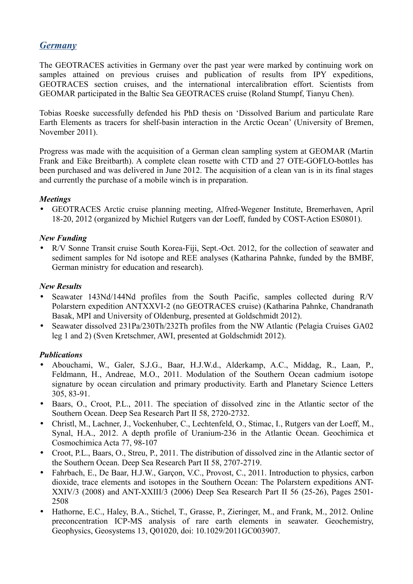# *Germany*

The GEOTRACES activities in Germany over the past year were marked by continuing work on samples attained on previous cruises and publication of results from IPY expeditions, GEOTRACES section cruises, and the international intercalibration effort. Scientists from GEOMAR participated in the Baltic Sea GEOTRACES cruise (Roland Stumpf, Tianyu Chen).

Tobias Roeske successfully defended his PhD thesis on 'Dissolved Barium and particulate Rare Earth Elements as tracers for shelf-basin interaction in the Arctic Ocean' (University of Bremen, November 2011).

Progress was made with the acquisition of a German clean sampling system at GEOMAR (Martin Frank and Eike Breitbarth). A complete clean rosette with CTD and 27 OTE-GOFLO-bottles has been purchased and was delivered in June 2012. The acquisition of a clean van is in its final stages and currently the purchase of a mobile winch is in preparation.

# *Meetings*

• GEOTRACES Arctic cruise planning meeting, Alfred-Wegener Institute, Bremerhaven, April 18-20, 2012 (organized by Michiel Rutgers van der Loeff, funded by COST-Action ES0801).

# *New Funding*

• R/V Sonne Transit cruise South Korea-Fiji, Sept.-Oct. 2012, for the collection of seawater and sediment samples for Nd isotope and REE analyses (Katharina Pahnke, funded by the BMBF, German ministry for education and research).

# *New Results*

- Seawater 143Nd/144Nd profiles from the South Pacific, samples collected during R/V Polarstern expedition ANTXXVI-2 (no GEOTRACES cruise) (Katharina Pahnke, Chandranath Basak, MPI and University of Oldenburg, presented at Goldschmidt 2012).
- Seawater dissolved 231Pa/230Th/232Th profiles from the NW Atlantic (Pelagia Cruises GA02 leg 1 and 2) (Sven Kretschmer, AWI, presented at Goldschmidt 2012).

# *Publications*

- Abouchami, W., Galer, S.J.G., Baar, H.J.W.d., Alderkamp, A.C., Middag, R., Laan, P., Feldmann, H., Andreae, M.O., 2011. Modulation of the Southern Ocean cadmium isotope signature by ocean circulation and primary productivity. Earth and Planetary Science Letters 305, 83-91.
- Baars, O., Croot, P.L., 2011. The speciation of dissolved zinc in the Atlantic sector of the Southern Ocean. Deep Sea Research Part II 58, 2720-2732.
- Christl, M., Lachner, J., Vockenhuber, C., Lechtenfeld, O., Stimac, I., Rutgers van der Loeff, M., Synal, H.A., 2012. A depth profile of Uranium-236 in the Atlantic Ocean. Geochimica et Cosmochimica Acta 77, 98-107
- Croot, P.L., Baars, O., Streu, P., 2011. The distribution of dissolved zinc in the Atlantic sector of the Southern Ocean. Deep Sea Research Part II 58, 2707-2719.
- Fahrbach, E., De Baar, H.J.W., Garçon, V.C., Provost, C., 2011. Introduction to physics, carbon dioxide, trace elements and isotopes in the Southern Ocean: The Polarstern expeditions ANT-XXIV/3 (2008) and ANT-XXIII/3 (2006) Deep Sea Research Part II 56 (25-26), Pages 2501- 2508
- Hathorne, E.C., Haley, B.A., Stichel, T., Grasse, P., Zieringer, M., and Frank, M., 2012. Online preconcentration ICP-MS analysis of rare earth elements in seawater. Geochemistry, Geophysics, Geosystems 13, Q01020, doi: 10.1029/2011GC003907.